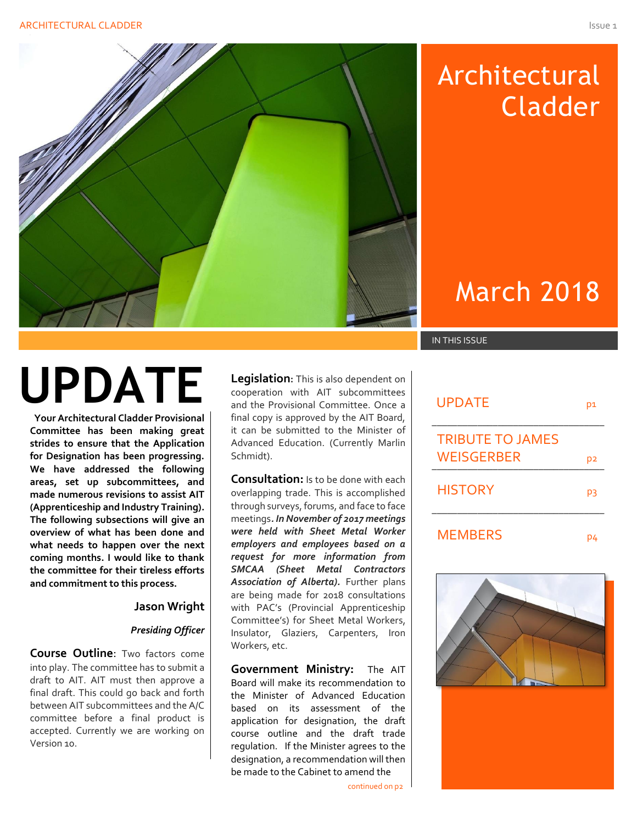

# Architectural Cladder

# March 2018

### IN THIS ISSUE

| UPDATE                                | בע |
|---------------------------------------|----|
| <b>TRIBUTE TO JAMES</b><br>WEISGERBER | p2 |
| <b>HISTORY</b>                        | pз |
| <b>MEMBERS</b>                        | μ4 |



# **UPDATE**

**Your Architectural Cladder Provisional Committee has been making great strides to ensure that the Application for Designation has been progressing. We have addressed the following areas, set up subcommittees, and made numerous revisions to assist AIT (Apprenticeship and Industry Training). The following subsections will give an overview of what has been done and what needs to happen over the next coming months. I would like to thank the committee for their tireless efforts and commitment to this process.**

### **Jason Wright**

### *Presiding Officer*

**Course Outline**: Two factors come into play. The committee has to submit a draft to AIT. AIT must then approve a final draft. This could go back and forth between AIT subcommittees and the A/C committee before a final product is accepted. Currently we are working on Version 10.

**Legislation:** This is also dependent on cooperation with AIT subcommittees and the Provisional Committee. Once a final copy is approved by the AIT Board, it can be submitted to the Minister of Advanced Education. (Currently Marlin Schmidt).

**Consultation:** Is to be done with each overlapping trade. This is accomplished through surveys, forums, and face to face meetings*. In November of 2017 meetings were held with Sheet Metal Worker employers and employees based on a request for more information from SMCAA (Sheet Metal Contractors Association of Alberta).* Further plans are being made for 2018 consultations with PAC's (Provincial Apprenticeship Committee's) for Sheet Metal Workers, Insulator, Glaziers, Carpenters, Iron Workers, etc.

**Government Ministry:** The AIT Board will make its recommendation to the Minister of Advanced Education based on its assessment of the application for designation, the draft course outline and the draft trade regulation. If the Minister agrees to the designation, a recommendation will then be made to the Cabinet to amend the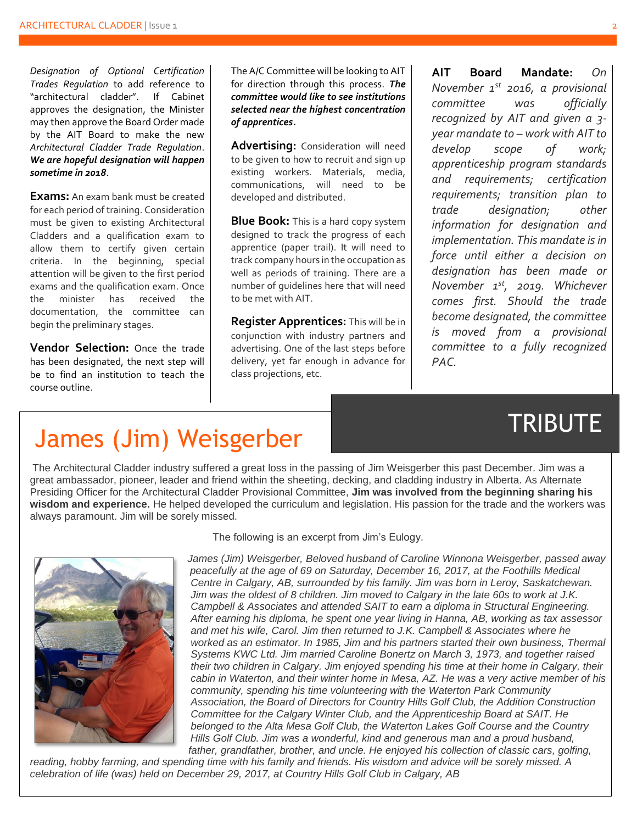*Designation of Optional Certification Trades Regulation* to add reference to "architectural cladder". If Cabinet approves the designation, the Minister may then approve the Board Order made by the AIT Board to make the new *Architectural Cladder Trade Regulation*. *We are hopeful designation will happen sometime in 2018*.

**Exams:** An exam bank must be created for each period of training. Consideration must be given to existing Architectural Cladders and a qualification exam to allow them to certify given certain criteria. In the beginning, special attention will be given to the first period exams and the qualification exam. Once the minister has received the documentation, the committee can begin the preliminary stages.

**Vendor Selection:** Once the trade has been designated, the next step will be to find an institution to teach the course outline.

The A/C Committee will be looking to AIT for direction through this process. *The committee would like to see institutions selected near the highest concentration of apprentices.*

**Advertising:** Consideration will need to be given to how to recruit and sign up existing workers. Materials, media, communications, will need to be developed and distributed.

**Blue Book:** This is a hard copy system designed to track the progress of each apprentice (paper trail). It will need to track company hours in the occupation as well as periods of training. There are a number of guidelines here that will need to be met with AIT.

**Register Apprentices:** This will be in conjunction with industry partners and advertising. One of the last steps before delivery, yet far enough in advance for class projections, etc.

**AIT Board Mandate:** *On November 1st 2016, a provisional committee was officially recognized by AIT and given a 3 year mandate to – work with AIT to develop scope of work; apprenticeship program standards and requirements; certification requirements; transition plan to trade designation; other information for designation and implementation. This mandate is in force until either a decision on designation has been made or November 1st, 2019. Whichever comes first. Should the trade become designated, the committee is moved from a provisional committee to a fully recognized PAC.* 

# James (Jim) Weisgerber TRIBUTE

The Architectural Cladder industry suffered a great loss in the passing of Jim Weisgerber this past December. Jim was a great ambassador, pioneer, leader and friend within the sheeting, decking, and cladding industry in Alberta. As Alternate Presiding Officer for the Architectural Cladder Provisional Committee, **Jim was involved from the beginning sharing his wisdom and experience.** He helped developed the curriculum and legislation. His passion for the trade and the workers was always paramount. Jim will be sorely missed.



The following is an excerpt from Jim's Eulogy.

*James (Jim) Weisgerber, Beloved husband of Caroline Winnona Weisgerber, passed away peacefully at the age of 69 on Saturday, December 16, 2017, at the Foothills Medical Centre in Calgary, AB, surrounded by his family. Jim was born in Leroy, Saskatchewan. Jim was the oldest of 8 children. Jim moved to Calgary in the late 60s to work at J.K. Campbell & Associates and attended SAIT to earn a diploma in Structural Engineering. After earning his diploma, he spent one year living in Hanna, AB, working as tax assessor and met his wife, Carol. Jim then returned to J.K. Campbell & Associates where he worked as an estimator. In 1985, Jim and his partners started their own business, Thermal Systems KWC Ltd. Jim married Caroline Bonertz on March 3, 1973, and together raised their two children in Calgary. Jim enjoyed spending his time at their home in Calgary, their cabin in Waterton, and their winter home in Mesa, AZ. He was a very active member of his community, spending his time volunteering with the Waterton Park Community Association, the Board of Directors for Country Hills Golf Club, the Addition Construction Committee for the Calgary Winter Club, and the Apprenticeship Board at SAIT. He belonged to the Alta Mesa Golf Club, the Waterton Lakes Golf Course and the Country Hills Golf Club. Jim was a wonderful, kind and generous man and a proud husband,*  father, grandfather, brother, and uncle. He enjoyed his collection of classic cars, golfing,

*reading, hobby farming, and spending time with his family and friends. His wisdom and advice will be sorely missed. A celebration of life (was) held on December 29, 2017, at Country Hills Golf Club in Calgary, AB*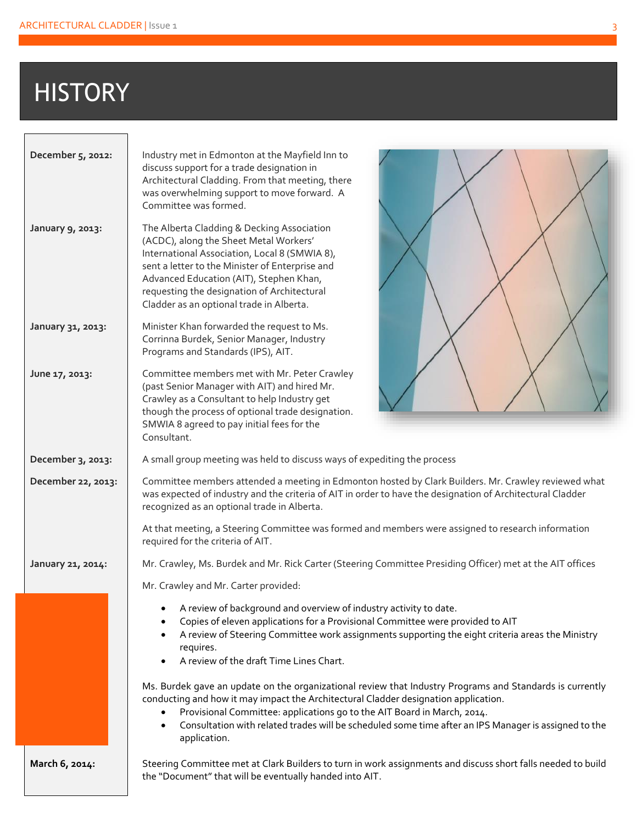### **HISTORY**

| December 5, 2012:                                                                                                                                                                                                                                                                                               | Industry met in Edmonton at the Mayfield Inn to<br>discuss support for a trade designation in<br>Architectural Cladding. From that meeting, there<br>was overwhelming support to move forward. A<br>Committee was formed.                                                                                                                                                                          |  |
|-----------------------------------------------------------------------------------------------------------------------------------------------------------------------------------------------------------------------------------------------------------------------------------------------------------------|----------------------------------------------------------------------------------------------------------------------------------------------------------------------------------------------------------------------------------------------------------------------------------------------------------------------------------------------------------------------------------------------------|--|
| January 9, 2013:                                                                                                                                                                                                                                                                                                | The Alberta Cladding & Decking Association<br>(ACDC), along the Sheet Metal Workers'<br>International Association, Local 8 (SMWIA 8),<br>sent a letter to the Minister of Enterprise and<br>Advanced Education (AIT), Stephen Khan,<br>requesting the designation of Architectural<br>Cladder as an optional trade in Alberta.                                                                     |  |
| January 31, 2013:                                                                                                                                                                                                                                                                                               | Minister Khan forwarded the request to Ms.<br>Corrinna Burdek, Senior Manager, Industry<br>Programs and Standards (IPS), AIT.                                                                                                                                                                                                                                                                      |  |
| June 17, 2013:                                                                                                                                                                                                                                                                                                  | Committee members met with Mr. Peter Crawley<br>(past Senior Manager with AIT) and hired Mr.<br>Crawley as a Consultant to help Industry get<br>though the process of optional trade designation.<br>SMWIA 8 agreed to pay initial fees for the<br>Consultant.                                                                                                                                     |  |
| December 3, 2013:                                                                                                                                                                                                                                                                                               | A small group meeting was held to discuss ways of expediting the process                                                                                                                                                                                                                                                                                                                           |  |
| December 22, 2013:                                                                                                                                                                                                                                                                                              | Committee members attended a meeting in Edmonton hosted by Clark Builders. Mr. Crawley reviewed what<br>was expected of industry and the criteria of AIT in order to have the designation of Architectural Cladder<br>recognized as an optional trade in Alberta.                                                                                                                                  |  |
|                                                                                                                                                                                                                                                                                                                 | At that meeting, a Steering Committee was formed and members were assigned to research information<br>required for the criteria of AIT.                                                                                                                                                                                                                                                            |  |
| January 21, 2014:                                                                                                                                                                                                                                                                                               | Mr. Crawley, Ms. Burdek and Mr. Rick Carter (Steering Committee Presiding Officer) met at the AIT offices                                                                                                                                                                                                                                                                                          |  |
|                                                                                                                                                                                                                                                                                                                 | Mr. Crawley and Mr. Carter provided:                                                                                                                                                                                                                                                                                                                                                               |  |
| A review of background and overview of industry activity to date.<br>Copies of eleven applications for a Provisional Committee were provided to AIT<br>A review of Steering Committee work assignments supporting the eight criteria areas the Ministry<br>requires.<br>A review of the draft Time Lines Chart. |                                                                                                                                                                                                                                                                                                                                                                                                    |  |
|                                                                                                                                                                                                                                                                                                                 | Ms. Burdek gave an update on the organizational review that Industry Programs and Standards is currently<br>conducting and how it may impact the Architectural Cladder designation application.<br>Provisional Committee: applications go to the AIT Board in March, 2014.<br>Consultation with related trades will be scheduled some time after an IPS Manager is assigned to the<br>application. |  |
| March 6, 2014:                                                                                                                                                                                                                                                                                                  | Steering Committee met at Clark Builders to turn in work assignments and discuss short falls needed to build<br>the "Document" that will be eventually handed into AIT.                                                                                                                                                                                                                            |  |